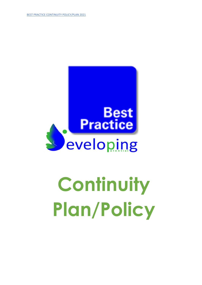

# **Continuity Plan/Policy**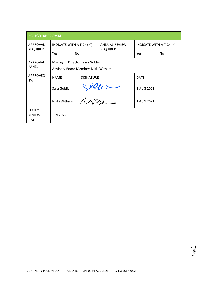| <b>POLICY APPROVAL</b>                        |                                     |           |                                                                       |                      |                                     |     |  |  |  |
|-----------------------------------------------|-------------------------------------|-----------|-----------------------------------------------------------------------|----------------------|-------------------------------------|-----|--|--|--|
| <b>APPROVAL</b><br><b>REQUIRED</b>            | INDICATE WITH A TICK $(\checkmark)$ |           |                                                                       | <b>ANNUAL REVIEW</b> | INDICATE WITH A TICK $(\checkmark)$ |     |  |  |  |
|                                               | Yes                                 | No.       |                                                                       | <b>REQUIRED</b>      | Yes                                 | No. |  |  |  |
| APPROVAL<br><b>PANEL</b>                      |                                     |           | Managing Director: Sara Goldie<br>Advisory Board Member: Nikki Witham |                      |                                     |     |  |  |  |
| <b>APPROVED</b><br><b>NAME</b><br>BY:         |                                     | SIGNATURE |                                                                       | DATE:                |                                     |     |  |  |  |
|                                               | Sara Goldie                         |           |                                                                       | 1 AUG 2021           |                                     |     |  |  |  |
|                                               | Nikki Witham                        |           |                                                                       | 1 AUG 2021           |                                     |     |  |  |  |
| <b>POLICY</b><br><b>REVIEW</b><br><b>DATE</b> | <b>July 2022</b>                    |           |                                                                       |                      |                                     |     |  |  |  |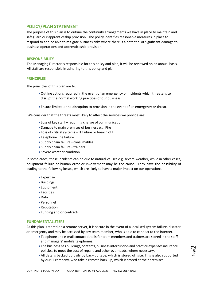# **POLICY/PLAN STATEMENT**

The purpose of this plan is to outline the continuity arrangements we have in place to maintain and safeguard our apprenticeship provision. The policy identifies reasonable measures in place to respond to and be able to mitigate business risks where there is a potential of significant damage to business operations and apprenticeship provision.

# **RESPONSIBILITY**

The Managing Director is responsible for this policy and plan, it will be reviewed on an annual basis. All staff are responsible in adhering to this policy and plan.

### **PRINCIPLES**

The principles of this plan are to:

- Outline actions required in the event of an emergency or incidents which threatens to disrupt the normal working practices of our business
- Ensure limited or no disruption to provision in the event of an emergency or threat.

We consider that the threats most likely to affect the services we provide are:

- Loss of key staff requiring change of communication
- Damage to main premises of business e.g. Fire
- Loss of critical systems IT failure or breach of IT
- Telephone line failure
- Supply chain failure consumables
- Supply chain failure trainers
- Severe weather condition

In some cases, these incidents can be due to natural-causes e.g. severe weather, while in other cases, equipment failure or human error or involvement may be the cause. They have the possibility of leading to the following losses, which are likely to have a major impact on our operations.

- Expertise
- Buildings
- Equipment
- Facilities
- Data
- Personnel
- Reputation
- Funding and or contracts

# **FUNDAMENTAL STEPS**

As this plan is stored on a remote server, it is secure in the event of a localised system failure, disaster or emergency and may be accessed by any team member, who is able to connect to the internet.

- Telephone and e-mail contact details for team members and trainers are stored in the staff and managers' mobile telephones.
- The business has buildings, contents, business interruption and practice expenses insurance policies, to meet the cost of repairs and other overheads, where necessary.
- All data is backed up daily by back-up tape, which is stored off site. This is also supported by our IT company, who take a remote back-up, which is stored at their premises.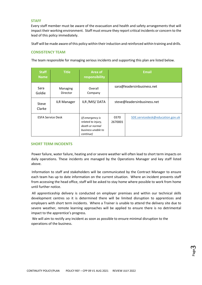# **STAFF**

Every staff member must be aware of the evacuation and health and safety arrangements that will impact their working environment. Staff must ensure they report critical incidents or concern to the lead of this policy immediately.

Staff will be made aware of this policy within their induction and reinforced within training and drills.

# **CONSISTENCY TEAM**

The team responsible for managing serious incidents and supporting this plan are listed below.

| <b>Staff</b><br>Name     | <b>Title</b>         | <b>Area of</b><br>responsibility                                                             |                 | <b>Email</b>                     |  |
|--------------------------|----------------------|----------------------------------------------------------------------------------------------|-----------------|----------------------------------|--|
| Sara<br>Goldie           | Managing<br>Director | Overall<br>Company                                                                           |                 | sara@leadersinbusiness.net       |  |
| Steve<br>Clarke          | <b>ILR Manager</b>   | ILR / MIS/ DATA                                                                              |                 | steve@leadersinbusiness.net      |  |
| <b>ESFA Service Desk</b> |                      | (if emergency is<br>related to injury,<br>death or normal<br>business unable to<br>continue) | 0370<br>2670001 | SDE.servicedesk@education.gov.uk |  |

# **SHORT TERM INCIDENTS**

 Power failure, water failure, heating and or severe weather will often lead to short term impacts on daily operations. These incidents are managed by the Operations Manager and key staff listed above.

Information to staff and stakeholders will be communicated by the Contract Manager to ensure each team has up to date information on the current situation. Where an incident prevents staff from accessing the head office, staff will be asked to stay home where possible to work from home until further notice.

All apprenticeship delivery is conducted on employer premises and within our technical skills development centres so it is determined there will be limited disruption to apprentices and employers with short term incidents. Where a Trainer is unable to attend the delivery site due to severe weather, remote learning approaches will be applied to ensure there is no detrimental impact to the apprentice's progress.

We will aim to rectify any incident as soon as possible to ensure minimal disruption to the operations of the business.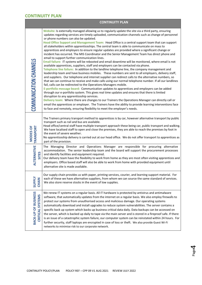# **CONTINUITY PLAN**

# **CONTINUITY PLAN**

| COMMUNICATION CHANNELS                  | Website: Is externally managed allowing us to regularly update the site via a third party, ensuring<br>updates regarding services are timely uploaded, communication channels such as change of personnel<br>or phone numbers can also be updated.<br>Head Office Support and Management Team: Head Office is a central support team that can support<br>all stakeholders within apprenticeships. The central team is able to communicate on mass to<br>apprentices and employers to ensure regular updates are provided where a significant change or<br>incident has occurred. The MIS Coordinator and the Senior Management Team has direct phone and<br>email to support further communication lines.<br>Email failure: IT systems will be rebooted and email downtime will be monitored, where email is not<br>available apprentices, suppliers, staff and employers can be contacted via phone.<br>Telephone line failure: In addition to the landline telephone line, the company management and<br>leadership team and have business mobiles. These numbers are sent to all employers, delivery staff,<br>and suppliers. Our telephone and internet supplier can redirect calls to the alternative numbers, so<br>that we can continue to receive and make calls using our normal telephone number. If all our landlines<br>fail, calls can be redirected to the Operations Managers mobile.<br>E-portfolio message board: Communication updates to apprentices and employers can be added<br>through our e-portfolio system. This gives real time updates and ensures that there is limited<br>disruption to any apprenticeship services.<br>Delivery team: Where there are changes to our Trainers the Operations Manager can directly call or<br>email the apprentices or employer. The Trainers have the ability to provide learning interventions face<br>to face and remotely, ensuring flexibility to meet the employer's needs. |
|-----------------------------------------|-------------------------------------------------------------------------------------------------------------------------------------------------------------------------------------------------------------------------------------------------------------------------------------------------------------------------------------------------------------------------------------------------------------------------------------------------------------------------------------------------------------------------------------------------------------------------------------------------------------------------------------------------------------------------------------------------------------------------------------------------------------------------------------------------------------------------------------------------------------------------------------------------------------------------------------------------------------------------------------------------------------------------------------------------------------------------------------------------------------------------------------------------------------------------------------------------------------------------------------------------------------------------------------------------------------------------------------------------------------------------------------------------------------------------------------------------------------------------------------------------------------------------------------------------------------------------------------------------------------------------------------------------------------------------------------------------------------------------------------------------------------------------------------------------------------------------------------------------------------------------------------------------------------------------------------------------|
| <b>MODES OF</b><br>TRANSPORT            | The Trainers primary transport method to apprentices is by car, however alternative transport by public<br>transport such as rail and bus are available.<br>Head office/central staff have multiple transport approach these being car, public transport and walking.<br>We have localised staff to open and close the premises, they are able to reach the premises by foot in<br>the event of severe weather.<br>No apprenticeship delivery is carried out at our head office. We do not offer transport to apprentices as<br>part of the provision.                                                                                                                                                                                                                                                                                                                                                                                                                                                                                                                                                                                                                                                                                                                                                                                                                                                                                                                                                                                                                                                                                                                                                                                                                                                                                                                                                                                          |
| <b>ALTERNATIVE</b><br><b>SITES</b>      | The Managing Director and Operations Manager are responsible for procuring alternative<br>accommodation. The senior leadership team and the board will support the procurement processes<br>and identify facilities and equipment required.<br>Our delivery team have the flexibility to work from home as they are most often visiting apprentices and<br>employers. Office based staff will also be able to work from home with provided equipment until<br>alternative site is made available.                                                                                                                                                                                                                                                                                                                                                                                                                                                                                                                                                                                                                                                                                                                                                                                                                                                                                                                                                                                                                                                                                                                                                                                                                                                                                                                                                                                                                                               |
| SUPPLI<br>CHAIN                         | Our supply chain provides us with paper, printing services, courier, and learning support material. For<br>each of these we have alternative suppliers, from whom we can source the same standard of services.<br>We also store reserve stocks in the event of low supplies.                                                                                                                                                                                                                                                                                                                                                                                                                                                                                                                                                                                                                                                                                                                                                                                                                                                                                                                                                                                                                                                                                                                                                                                                                                                                                                                                                                                                                                                                                                                                                                                                                                                                    |
| BACK-UP OF BUSINESS<br>CRITICAL SYSTEMS | We renew IT systems on a regular basis. All IT hardware is protected by antivirus and antimalware<br>software, that automatically updates from the internet on a regular basis. We also employ firewalls to<br>protect our systems from unauthorised access and malicious damage. Our operating systems<br>automatically download and install upgrades to reduce system vulnerabilities. The server contains a<br>specific back up system which backs up business critical data daily. Data backups can be accessed on<br>the server, which is backed up daily to tape via the main server and is stored in a fireproof safe. If there<br>is an issue of a catastrophic system failure, our computer system can be reinstated within 24 hours. For<br>further security, staff laptops are encrypted in case of loss or theft. We also provide Guest Wi-Fi<br>networks to minimise risk to our corporate network.                                                                                                                                                                                                                                                                                                                                                                                                                                                                                                                                                                                                                                                                                                                                                                                                                                                                                                                                                                                                                                |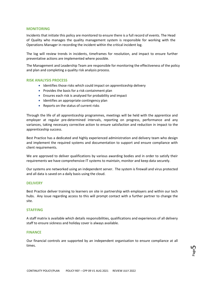# **MONITORING**

Incidents that initiate this policy are monitored to ensure there is a full record of events. The Head of Quality who manages the quality management system is responsible for working with the Operations Manager in recording the incident within the critical incident log.

The log will review trends in incidents, timeframes for resolution, and impact to ensure further preventative actions are implemented where possible. j

The Management and Leadership Team are responsible for monitoring the effectiveness of the policy and plan and completing a quality risk analysis process.

# **RISK ANALYSIS PROCESS**

- Identifies those risks which could impact on apprenticeship delivery
- Provides the basis for a risk containment plan
- Ensures each risk is analysed for probability and impact
- Identifies an appropriate contingency plan
- Reports on the status of current risks

Through the life of all apprenticeship programmes, meetings will be held with the apprentice and employer at regular pre-determined intervals, reporting on progress, performance and any variances, taking necessary corrective action to ensure satisfaction and reduction in impact to the apprenticeship success.

Best Practice has a dedicated and highly experienced administration and delivery team who design and implement the required systems and documentation to support and ensure compliance with client requirements.

We are approved to deliver qualifications by various awarding bodies and in order to satisfy their requirements we have comprehensive IT systems to maintain, monitor and keep data securely.

Our systems are networked using an independent server. The system is firewall and virus protected and all data is saved on a daily basis using the cloud.

# **DELIVERY**

Best Practice deliver training to learners on site in partnership with employers and within our tech hubs. Any issue regarding access to this will prompt contact with a further partner to change the site.

### **STAFFING**

A staff matrix is available which details responsibilities, qualifications and experiences of all delivery staff to ensure sickness and holiday cover is always available.

### **FINANCE**

 Our financial controls are supported by an independent organisation to ensure compliance at all times.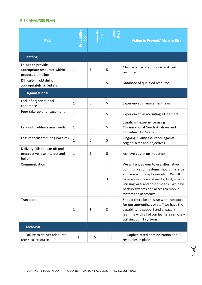# **RISK ANALYSIS PLAN**

| <b>Risk</b>                                                               | Probability<br>$1-5$ | Severity<br>$1-5$ | Score<br>P x S | <b>Action to Prevent/ Manage Risk</b>                                                                                                                                                                                                                                           |
|---------------------------------------------------------------------------|----------------------|-------------------|----------------|---------------------------------------------------------------------------------------------------------------------------------------------------------------------------------------------------------------------------------------------------------------------------------|
| <b>Staffing</b>                                                           |                      |                   |                |                                                                                                                                                                                                                                                                                 |
| Failure to provide<br>appropriate resources within<br>proposed timeline   | $\mathbf 1$          | 5                 | 5              | Maintenance of appropriate skilled<br>resource                                                                                                                                                                                                                                  |
| Difficulty in obtaining<br>appropriately skilled staff                    | $1\,$                | 5                 | 5              | Database of qualified resource                                                                                                                                                                                                                                                  |
| <b>Organisational</b>                                                     |                      |                   |                |                                                                                                                                                                                                                                                                                 |
| Lack of organisational<br>coherence                                       | $\mathbf 1$          | 5                 | 5              | Experienced management team                                                                                                                                                                                                                                                     |
| Poor take-up or engagement                                                | $\mathbf 1$          | 5                 | 5              | Experienced in recruiting all learners                                                                                                                                                                                                                                          |
| Failure to address user needs                                             | $\mathbf 1$          | 5                 | 5              | Significant experience using<br>Organisational Needs Analyses and<br><b>Individual Skill Scans</b>                                                                                                                                                                              |
| Loss of focus from original aims                                          | $\mathbf{1}$         | 5                 | 5              | Ongoing quality assurance against<br>original aims and objectives                                                                                                                                                                                                               |
| Delivery fails to take-off and<br>prospective lose interest and<br>belief | $\mathbf 1$          | 5                 | 5              | Achieve buy-in on induction                                                                                                                                                                                                                                                     |
| Communication                                                             | 1                    | 3                 | 3              | We will endeavour to use alternative<br>communication systems should there be<br>an issue with telephones etc. We will<br>have access to social media, text, emails<br>utilising wi-fi and other means. We have<br>backup systems and access to mobile<br>systems as necessary. |
| Transport                                                                 | 1                    | 3                 | 3              | Should there be an issue with transport<br>for our apprentices or staff we have the<br>capability to support and engage in<br>learning with all of our learners remotely<br>utilising our IT systems.                                                                           |
| <b>Technical</b>                                                          |                      |                   |                |                                                                                                                                                                                                                                                                                 |
| Failure to deliver adequate<br>technical resource                         | 1                    | 5                 | 5              | Sophisticated administration and IT<br>resources in place                                                                                                                                                                                                                       |